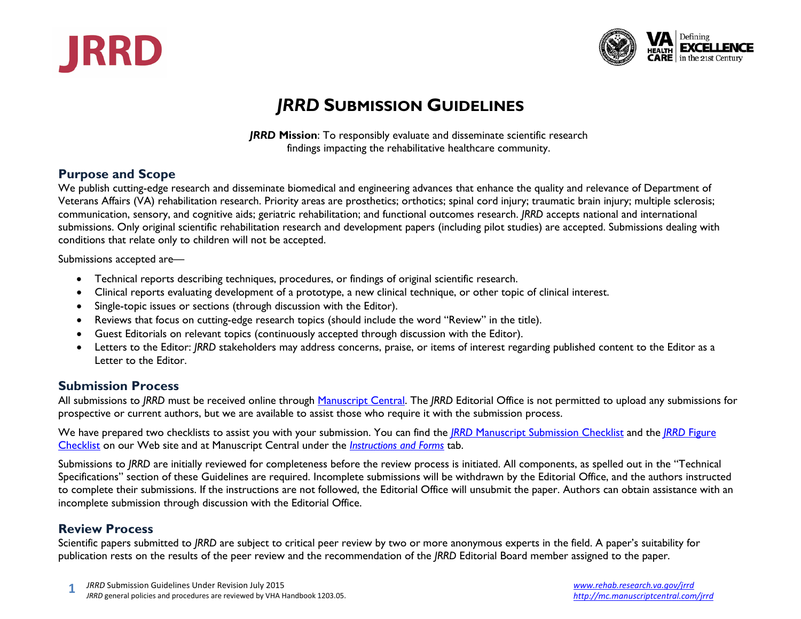



## *JRRD* **SUBMISSION GUIDELINES**

*JRRD* **Mission**: To responsibly evaluate and disseminate scientific research findings impacting the rehabilitative healthcare community.

## **Purpose and Scope**

We publish cutting-edge research and disseminate biomedical and engineering advances that enhance the quality and relevance of Department of Veterans Affairs (VA) rehabilitation research. Priority areas are prosthetics; orthotics; spinal cord injury; traumatic brain injury; multiple sclerosis; communication, sensory, and cognitive aids; geriatric rehabilitation; and functional outcomes research. *JRRD* accepts national and international submissions. Only original scientific rehabilitation research and development papers (including pilot studies) are accepted. Submissions dealing with conditions that relate only to children will not be accepted.

Submissions accepted are—

- Technical reports describing techniques, procedures, or findings of original scientific research.
- Clinical reports evaluating development of a prototype, a new clinical technique, or other topic of clinical interest.
- Single-topic issues or sections (through discussion with the Editor).
- Reviews that focus on cutting-edge research topics (should include the word "Review" in the title).
- Guest Editorials on relevant topics (continuously accepted through discussion with the Editor).
- Letters to the Editor: *JRRD* stakeholders may address concerns, praise, or items of interest regarding published content to the Editor as a Letter to the Editor.

## **Submission Process**

All submissions to *JRRD* must be received online through [Manuscript Central.](http://mc.manuscriptcentral.com/jrrd) The *JRRD* Editorial Office is not permitted to upload any submissions for prospective or current authors, but we are available to assist those who require it with the submission process.

We have prepared two checklists to assist you with your submission. You can find the *JRRD* [Manuscript Submission Checklist](http://www.rehab.research.va.gov/jour/jrrdsubcheck2010.pdf) and the *JRRD* [Figure](http://www.rehab.research.va.gov/jour/jrrdfigcheck2010.pdf)  [Checklist](http://www.rehab.research.va.gov/jour/jrrdfigcheck2010.pdf) on our Web site and at Manuscript Central under the *[Instructions and Forms](http://mc.manuscriptcentral.com/jrrd?NEXT_PAGE=FORMS_AND_INSTRUCTIONS&CURRENT_ROLE_ID=1&CURRENT_USER_ID=0&DOCUMENT_HASHCODE=&SANITY_CHECK_DOCUMENT_ID=&CONFIG_ID=2880&PAGE_NAME=LOGIN)* tab.

Submissions to *JRRD* are initially reviewed for completeness before the review process is initiated. All components, as spelled out in the "Technical Specifications" section of these Guidelines are required. Incomplete submissions will be withdrawn by the Editorial Office, and the authors instructed to complete their submissions. If the instructions are not followed, the Editorial Office will unsubmit the paper. Authors can obtain assistance with an incomplete submission through discussion with the Editorial Office.

## **Review Process**

Scientific papers submitted to *JRRD* are subject to critical peer review by two or more anonymous experts in the field. A paper's suitability for publication rests on the results of the peer review and the recommendation of the *JRRD* Editorial Board member assigned to the paper.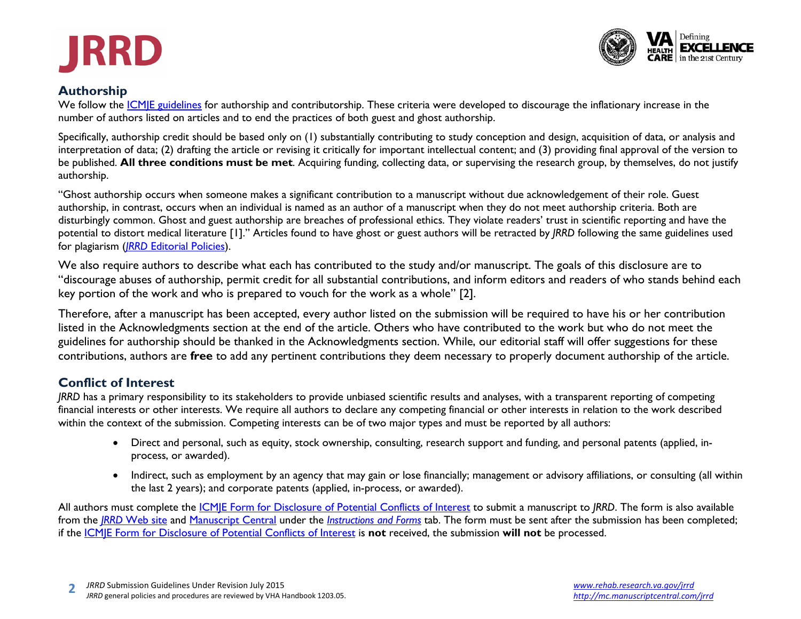



#### **Authorship**

We follow the *ICMJE* guidelines for authorship and contributorship. These criteria were developed to discourage the inflationary increase in the number of authors listed on articles and to end the practices of both guest and ghost authorship.

Specifically, authorship credit should be based only on (1) substantially contributing to study conception and design, acquisition of data, or analysis and interpretation of data; (2) drafting the article or revising it critically for important intellectual content; and (3) providing final approval of the version to be published. **All three conditions must be met**. Acquiring funding, collecting data, or supervising the research group, by themselves, do not justify authorship.

"Ghost authorship occurs when someone makes a significant contribution to a manuscript without due acknowledgement of their role. Guest authorship, in contrast, occurs when an individual is named as an author of a manuscript when they do not meet authorship criteria. Both are disturbingly common. Ghost and guest authorship are breaches of professional ethics. They violate readers' trust in scientific reporting and have the potential to distort medical literature [1]." Articles found to have ghost or guest authors will be retracted by *JRRD* following the same guidelines used for plagiarism (*JRRD* [Editorial Policies\)](http://www.rehab.research.va.gov/jour/jrrdedpolicy2010.pdf).

We also require authors to describe what each has contributed to the study and/or manuscript. The goals of this disclosure are to "discourage abuses of authorship, permit credit for all substantial contributions, and inform editors and readers of who stands behind each key portion of the work and who is prepared to vouch for the work as a whole" [2].

Therefore, after a manuscript has been accepted, every author listed on the submission will be required to have his or her contribution listed in the Acknowledgments section at the end of the article. Others who have contributed to the work but who do not meet the guidelines for authorship should be thanked in the Acknowledgments section. While, our editorial staff will offer suggestions for these contributions, authors are **free** to add any pertinent contributions they deem necessary to properly document authorship of the article.

## **Conflict of Interest**

*JRRD* has a primary responsibility to its stakeholders to provide unbiased scientific results and analyses, with a transparent reporting of competing financial interests or other interests. We require all authors to declare any competing financial or other interests in relation to the work described within the context of the submission. Competing interests can be of two major types and must be reported by all authors:

- Direct and personal, such as equity, stock ownership, consulting, research support and funding, and personal patents (applied, inprocess, or awarded).
- Indirect, such as employment by an agency that may gain or lose financially; management or advisory affiliations, or consulting (all within the last 2 years); and corporate patents (applied, in-process, or awarded).

All authors must complete the [ICMJE Form for Disclosure of Potential Conflicts of Interest](http://www.icmje.org/coi_disclosure.pdf) to submit a manuscript to *JRRD*. The form is also available from the *JRRD* [Web site](http://www.rehab.research.va.gov/jour/jourindx.html) and [Manuscript Central](http://mc.manuscriptcentral.com/jrrd) under the *[Instructions and Forms](http://mc.manuscriptcentral.com/jrrd?NEXT_PAGE=FORMS_AND_INSTRUCTIONS&CURRENT_ROLE_ID=1&CURRENT_USER_ID=0&DOCUMENT_HASHCODE=&SANITY_CHECK_DOCUMENT_ID=&CONFIG_ID=2880&PAGE_NAME=LOGIN)* tab. The form must be sent after the submission has been completed; if the [ICMJE Form for Disclosure of Potential Conflicts of Interest](http://www.icmje.org/coi_disclosure.pdf) is **not** received, the submission **will not** be processed.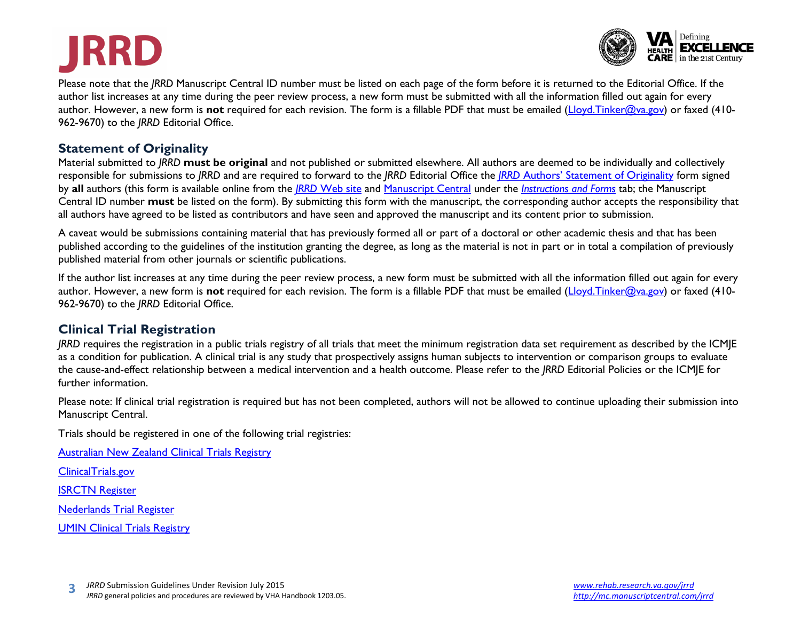## **JRRD**



Please note that the *JRRD* Manuscript Central ID number must be listed on each page of the form before it is returned to the Editorial Office. If the author list increases at any time during the peer review process, a new form must be submitted with all the information filled out again for every author. However, a new form is not required for each revision. The form is a fillable PDF that must be emailed [\(Lloyd.Tinker@va.gov\)](mailto:lloyd.tinker@va.gov) or faxed (410-962-9670) to the *JRRD* Editorial Office.

## **Statement of Originality**

Material submitted to *JRRD* **must be original** and not published or submitted elsewhere. All authors are deemed to be individually and collectively responsible for submissions to *JRRD* and are required to forward to the *JRRD* Editorial Office the *JRRD* [Authors' Statement of Originality](http://www.rehab.research.va.gov/jour/jrrdoriginality2010.pdf) form signed by **all** authors (this form is available online from the *JRRD* [Web site](http://www.rehab.research.va.gov/jour/jourindx.html) and [Manuscript Central](http://mc.manuscriptcentral.com/jrrd) under the *[Instructions and Forms](http://mc.manuscriptcentral.com/jrrd?NEXT_PAGE=FORMS_AND_INSTRUCTIONS&CURRENT_ROLE_ID=1&CURRENT_USER_ID=0&DOCUMENT_HASHCODE=&SANITY_CHECK_DOCUMENT_ID=&CONFIG_ID=2880&PAGE_NAME=LOGIN)* tab; the Manuscript Central ID number **must** be listed on the form). By submitting this form with the manuscript, the corresponding author accepts the responsibility that all authors have agreed to be listed as contributors and have seen and approved the manuscript and its content prior to submission.

A caveat would be submissions containing material that has previously formed all or part of a doctoral or other academic thesis and that has been published according to the guidelines of the institution granting the degree, as long as the material is not in part or in total a compilation of previously published material from other journals or scientific publications.

If the author list increases at any time during the peer review process, a new form must be submitted with all the information filled out again for every author. However, a new form is not required for each revision. The form is a fillable PDF that must be emailed [\(Lloyd.Tinker@va.gov\)](mailto:lloyd.tinker@va.gov) or faxed (410-962-9670) to the *JRRD* Editorial Office.

## **Clinical Trial Registration**

*JRRD* requires the registration in a public trials registry of all trials that meet the minimum registration data set requirement as described by the [ICMJE](http://www.icmje.org/urm_main.html) as a condition for publication. A clinical trial is any study that prospectively assigns human subjects to intervention or comparison groups to evaluate the cause-and-effect relationship between a medical intervention and a health outcome. Please refer to the *JRRD* [Editorial Policies](http://www.rehab.research.va.gov/jour/jrrdedpolicy2010.pdf) or the [ICMJE](http://www.icmje.org/urm_main.html) for further information.

Please note: If clinical trial registration is required but has not been completed, authors will not be allowed to continue uploading their submission into Manuscript Central.

Trials should be registered in one of the following trial registries:

[Australian New Zealand Clinical Trials Registry](http://actr.org.au/)

[ClinicalTrials.gov](http://www.clinicaltrials.gov/)

[ISRCTN Register](http://isrctn.org/)

[Nederlands Trial Register](http://www.trialregister.nl/trialreg/index.asp)

[UMIN Clinical Trials Registry](http://www.umin.ac.jp/ctr)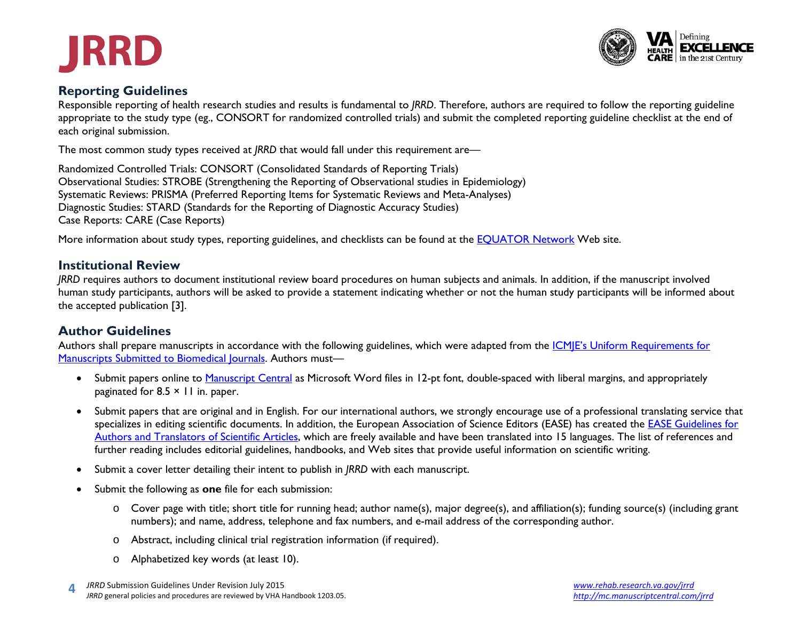



## **Reporting Guidelines**

Responsible reporting of health research studies and results is fundamental to *JRRD*. Therefore, authors are required to follow the reporting guideline appropriate to the study type (eg., CONSORT for randomized controlled trials) and submit the completed reporting guideline checklist at the end of each original submission.

The most common study types received at *JRRD* that would fall under this requirement are—

Randomized Controlled Trials: CONSORT (Consolidated Standards of Reporting Trials) Observational Studies: STROBE (Strengthening the Reporting of Observational studies in Epidemiology) Systematic Reviews: PRISMA (Preferred Reporting Items for Systematic Reviews and Meta-Analyses) Diagnostic Studies: STARD (Standards for the Reporting of Diagnostic Accuracy Studies) Case Reports: CARE (Case Reports)

More information about study types, reporting guidelines, and checklists can be found at the **EQUATOR** Network Web site.

#### **Institutional Review**

*JRRD* requires authors to document institutional review board procedures on human subjects and animals. In addition, if the manuscript involved human study participants, authors will be asked to provide a statement indicating whether or not the human study participants will be informed about the accepted publication [3].

## **Author Guidelines**

Authors shall prepare manuscripts in accordance with the following guidelines, which were adapted from the *ICMJE's Uniform Requirements for* [Manuscripts Submitted to Biomedical Journals.](http://www.icmje.org/urm_main.html) Authors must—

- Submit papers online to [Manuscript Central](http://mc.manuscriptcentral.com/jrrd) as Microsoft Word files in 12-pt font, double-spaced with liberal margins, and appropriately paginated for  $8.5 \times 11$  in. paper.
- Submit papers that are original and in English. For our international authors, we strongly encourage use of a professional translating service that specializes in editing scientific documents. In addition, the European Association of Science Editors (EASE) has created the [EASE Guidelines for](http://www.ease.org.uk/sites/default/files/ease_guidelines-june2011c.pdf)  [Authors and Translators of Scientific Articles,](http://www.ease.org.uk/sites/default/files/ease_guidelines-june2011c.pdf) which are freely available and have been translated into 15 languages. The list of references and further reading includes editorial guidelines, handbooks, and Web sites that provide useful information on scientific writing.
- Submit a cover letter detailing their intent to publish in *JRRD* with each manuscript.
- Submit the following as **one** file for each submission:
	- o Cover page with title; short title for running head; author name(s), major degree(s), and affiliation(s); funding source(s) (including grant numbers); and name, address, telephone and fax numbers, and e-mail address of the corresponding author.
	- o Abstract, including clinical trial registration information (if required).
	- o Alphabetized key words (at least 10).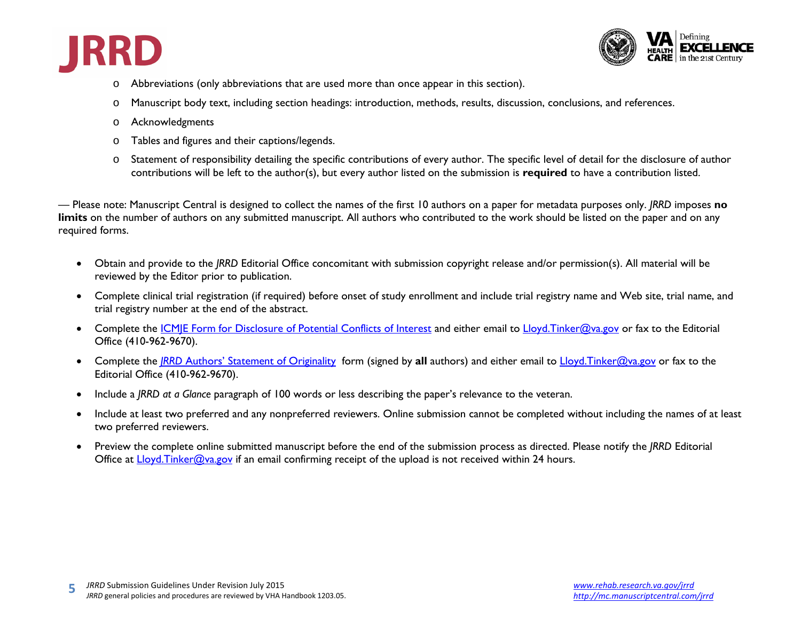



- o Abbreviations (only abbreviations that are used more than once appear in this section).
- o Manuscript body text, including section headings: introduction, methods, results, discussion, conclusions, and references.
- o Acknowledgments
- o Tables and figures and their captions/legends.
- o Statement of responsibility detailing the specific contributions of every author. The specific level of detail for the disclosure of author contributions will be left to the author(s), but every author listed on the submission is **required** to have a contribution listed.

— Please note: Manuscript Central is designed to collect the names of the first 10 authors on a paper for metadata purposes only. *JRRD* imposes **no**  limits on the number of authors on any submitted manuscript. All authors who contributed to the work should be listed on the paper and on any required forms.

- Obtain and provide to the *JRRD* Editorial Office concomitant with submission copyright release and/or permission(s). All material will be reviewed by the Editor prior to publication.
- Complete clinical trial registration (if required) before onset of study enrollment and include trial registry name and Web site, trial name, and trial registry number at the end of the abstract.
- Complete the ICMIE Form for Disclosure of Potential Conflicts of Interest and either email to [Lloyd.Tinker@va.gov](mailto:Lloyd.Tinker@va.gov) or fax to the Editorial Office (410-962-9670).
- Complete the *JRRD* [Authors' Statement of Originality](http://www.rehab.research.va.gov/jour/jrrdoriginality2010.pdf) form (signed by **all** authors) and either email to [Lloyd.Tinker@va.gov](mailto:Lloyd.Tinker@va.gov) or fax to the Editorial Office (410-962-9670).
- Include a *JRRD at a Glance* paragraph of 100 words or less describing the paper's relevance to the veteran.
- Include at least two preferred and any nonpreferred reviewers. Online submission cannot be completed without including the names of at least two preferred reviewers.
- Preview the complete online submitted manuscript before the end of the submission process as directed. Please notify the *JRRD* Editorial Office at Lloyd. Tinker@va.gov if an email confirming receipt of the upload is not received within 24 hours.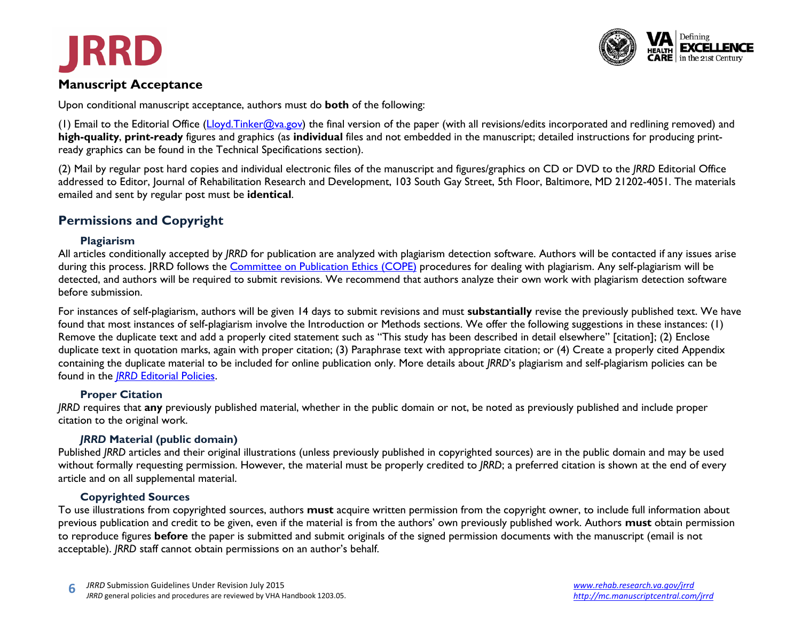

## **Manuscript Acceptance**

**JRRD** 

Upon conditional manuscript acceptance, authors must do **both** of the following:

(1) Email to the Editorial Office [\(Lloyd.Tinker@va.gov\)](mailto:Lloyd.Tinker@va.gov) the final version of the paper (with all revisions/edits incorporated and redlining removed) and **high-quality**, **print-ready** figures and graphics (as **individual** files and not embedded in the manuscript; detailed instructions for producing printready graphics can be found in the Technical Specifications section).

(2) Mail by regular post hard copies and individual electronic files of the manuscript and figures/graphics on CD or DVD to the *JRRD* Editorial Office addressed to Editor, Journal of Rehabilitation Research and Development, 103 South Gay Street, 5th Floor, Baltimore, MD 21202-4051. The materials emailed and sent by regular post must be **identical**.

## **Permissions and Copyright**

#### **Plagiarism**

All articles conditionally accepted by *JRRD* for publication are analyzed with plagiarism detection software. Authors will be contacted if any issues arise during this process. JRRD follows the [Committee on Publication Ethics \(COPE\)](http://publicationethics.org/) procedures for dealing with plagiarism. Any self-plagiarism will be detected, and authors will be required to submit revisions. We recommend that authors analyze their own work with plagiarism detection software before submission.

For instances of self-plagiarism, authors will be given 14 days to submit revisions and must **substantially** revise the previously published text. We have found that most instances of self-plagiarism involve the Introduction or Methods sections. We offer the following suggestions in these instances: (1) Remove the duplicate text and add a properly cited statement such as "This study has been described in detail elsewhere" [citation]; (2) Enclose duplicate text in quotation marks, again with proper citation; (3) Paraphrase text with appropriate citation; or (4) Create a properly cited Appendix containing the duplicate material to be included for online publication only. More details about *JRRD*'s plagiarism and self-plagiarism policies can be found in the *JRRD* [Editorial Policies.](http://www.rehab.research.va.gov/jour/jrrdedpolicy2010.pdf)

#### **Proper Citation**

*JRRD* requires that **any** previously published material, whether in the public domain or not, be noted as previously published and include proper citation to the original work.

#### *JRRD* **Material (public domain)**

Published *JRRD* articles and their original illustrations (unless previously published in copyrighted sources) are in the public domain and may be used without formally requesting permission. However, the material must be properly credited to *JRRD*; a preferred citation is shown at the end of every article and on all supplemental material.

#### **Copyrighted Sources**

To use illustrations from copyrighted sources, authors **must** acquire written permission from the copyright owner, to include full information about previous publication and credit to be given, even if the material is from the authors' own previously published work. Authors **must** obtain permission to reproduce figures **before** the paper is submitted and submit originals of the signed permission documents with the manuscript (email is not acceptable). *JRRD* staff cannot obtain permissions on an author's behalf.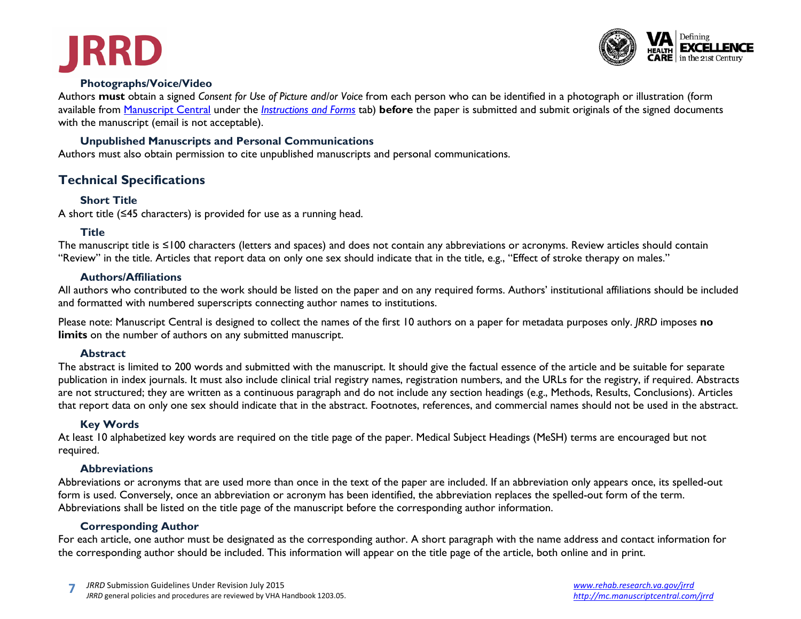



#### **Photographs/Voice/Video**

Authors **must** obtain a signed *Consent for Use of Picture and/or Voice* from each person who can be identified in a photograph or illustration (form available from [Manuscript Central](http://mc.manuscriptcentral.com/jrrd) under the *[Instructions and Forms](http://mc.manuscriptcentral.com/jrrd?NEXT_PAGE=FORMS_AND_INSTRUCTIONS&CURRENT_ROLE_ID=1&CURRENT_USER_ID=0&DOCUMENT_HASHCODE=&SANITY_CHECK_DOCUMENT_ID=&CONFIG_ID=2880&PAGE_NAME=LOGIN)* tab) **before** the paper is submitted and submit originals of the signed documents with the manuscript (email is not acceptable).

#### **Unpublished Manuscripts and Personal Communications**

Authors must also obtain permission to cite unpublished manuscripts and personal communications.

## **Technical Specifications**

#### **Short Title**

A short title (≤45 characters) is provided for use as a running head.

#### **Title**

The manuscript title is ≤100 characters (letters and spaces) and does not contain any abbreviations or acronyms. Review articles should contain "Review" in the title. Articles that report data on only one sex should indicate that in the title, e.g., "Effect of stroke therapy on males."

#### **Authors/Affiliations**

All authors who contributed to the work should be listed on the paper and on any required forms. Authors' institutional affiliations should be included and formatted with numbered superscripts connecting author names to institutions.

Please note: Manuscript Central is designed to collect the names of the first 10 authors on a paper for metadata purposes only. *JRRD* imposes **no limits** on the number of authors on any submitted manuscript.

#### **Abstract**

The abstract is limited to 200 words and submitted with the manuscript. It should give the factual essence of the article and be suitable for separate publication in index journals. It must also include clinical trial registry names, registration numbers, and the URLs for the registry, if required. Abstracts are not structured; they are written as a continuous paragraph and do not include any section headings (e.g., Methods, Results, Conclusions). Articles that report data on only one sex should indicate that in the abstract. Footnotes, references, and commercial names should not be used in the abstract.

#### **Key Words**

At least 10 alphabetized key words are required on the title page of the paper. Medical Subject Headings (MeSH) terms are encouraged but not required.

#### **Abbreviations**

Abbreviations or acronyms that are used more than once in the text of the paper are included. If an abbreviation only appears once, its spelled-out form is used. Conversely, once an abbreviation or acronym has been identified, the abbreviation replaces the spelled-out form of the term. Abbreviations shall be listed on the title page of the manuscript before the corresponding author information.

#### **Corresponding Author**

For each article, one author must be designated as the corresponding author. A short paragraph with the name address and contact information for the corresponding author should be included. This information will appear on the title page of the article, both online and in print.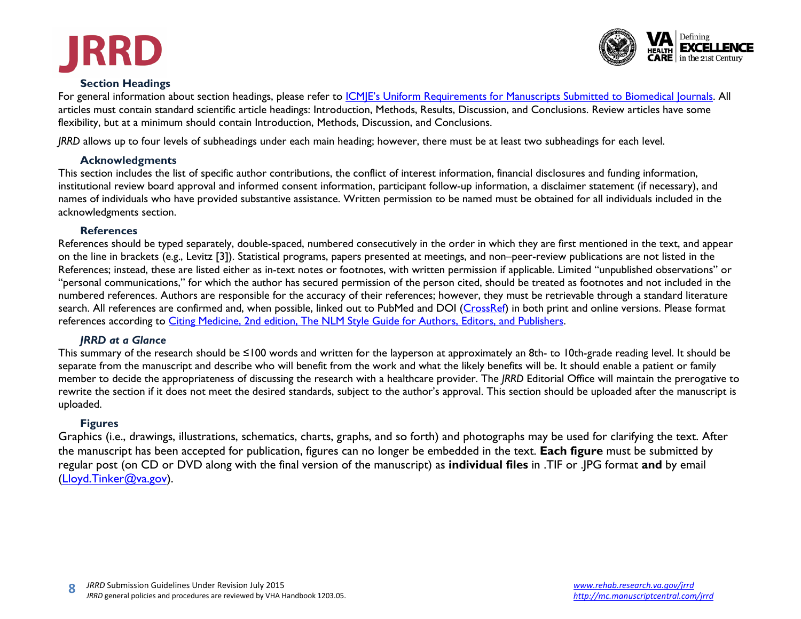



## **Section Headings**

For general information about section headings, please refer to ICMIE's Uniform Requirements for Manuscripts Submitted to Biomedical Journals. All articles must contain standard scientific article headings: Introduction, Methods, Results, Discussion, and Conclusions. Review articles have some flexibility, but at a minimum should contain Introduction, Methods, Discussion, and Conclusions.

*JRRD* allows up to four levels of subheadings under each main heading; however, there must be at least two subheadings for each level.

#### **Acknowledgments**

This section includes the list of specific author contributions, the conflict of interest information, financial disclosures and funding information, institutional review board approval and informed consent information, participant follow-up information, a disclaimer statement (if necessary), and names of individuals who have provided substantive assistance. Written permission to be named must be obtained for all individuals included in the acknowledgments section.

#### **References**

References should be typed separately, double-spaced, numbered consecutively in the order in which they are first mentioned in the text, and appear on the line in brackets (e.g., Levitz [3]). Statistical programs, papers presented at meetings, and non–peer-review publications are not listed in the References; instead, these are listed either as in-text notes or footnotes, with written permission if applicable. Limited "unpublished observations" or "personal communications," for which the author has secured permission of the person cited, should be treated as footnotes and not included in the numbered references. Authors are responsible for the accuracy of their references; however, they must be retrievable through a standard literature search. All references are confirmed and, when possible, linked out to PubMed and DOI [\(CrossRef\)](http://www.crossref.org/) in both print and online versions. Please format references according to [Citing Medicine, 2nd edition, The NLM Style Guide for Authors, Editors, and Publishers.](http://www.ncbi.nlm.nih.gov/books/NBK7256/)

#### *JRRD at a Glance*

This summary of the research should be ≤100 words and written for the layperson at approximately an 8th- to 10th-grade reading level. It should be separate from the manuscript and describe who will benefit from the work and what the likely benefits will be. It should enable a patient or family member to decide the appropriateness of discussing the research with a healthcare provider. The *JRRD* Editorial Office will maintain the prerogative to rewrite the section if it does not meet the desired standards, subject to the author's approval. This section should be uploaded after the manuscript is uploaded.

## **Figures**

Graphics (i.e., drawings, illustrations, schematics, charts, graphs, and so forth) and photographs may be used for clarifying the text. After the manuscript has been accepted for publication, figures can no longer be embedded in the text. **Each figure** must be submitted by regular post (on CD or DVD along with the final version of the manuscript) as **individual files** in .TIF or .JPG format **and** by email [\(Lloyd.Tinker@va.gov\)](mailto:lloyd.tinker@va.gov).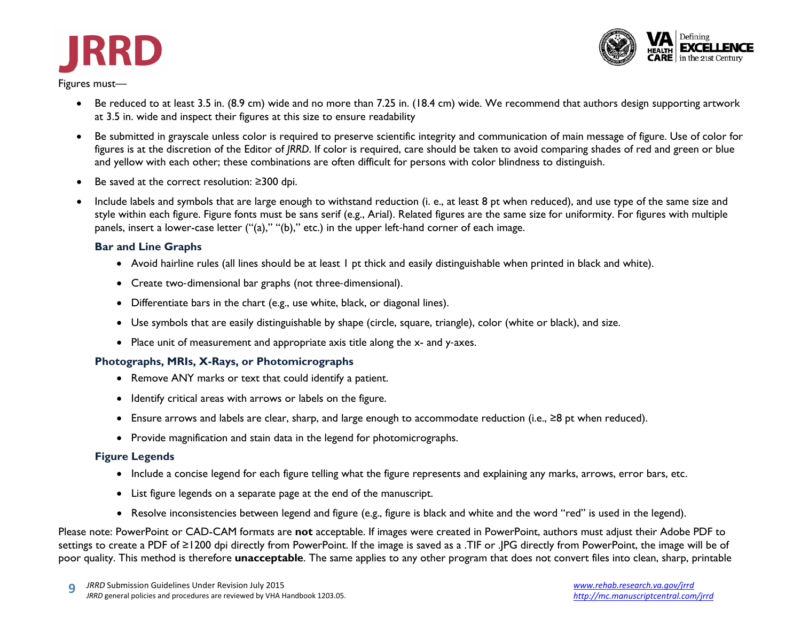



- Be reduced to at least 3.5 in. (8.9 cm) wide and no more than 7.25 in. (18.4 cm) wide. We recommend that authors design supporting artwork at 3.5 in. wide and inspect their figures at this size to ensure readability
- Be submitted in grayscale unless color is required to preserve scientific integrity and communication of main message of figure. Use of color for figures is at the discretion of the Editor of *JRRD*. If color is required, care should be taken to avoid comparing shades of red and green or blue and yellow with each other; these combinations are often difficult for persons with color blindness to distinguish.
- Be saved at the correct resolution: ≥300 dpi.
- Include labels and symbols that are large enough to withstand reduction (i. e., at least 8 pt when reduced), and use type of the same size and style within each figure. Figure fonts must be sans serif (e.g., Arial). Related figures are the same size for uniformity. For figures with multiple panels, insert a lower-case letter ("(a)," "(b)," etc.) in the upper left-hand corner of each image.

#### **Bar and Line Graphs**

- Avoid hairline rules (all lines should be at least 1 pt thick and easily distinguishable when printed in black and white).
- Create two-dimensional bar graphs (not three-dimensional).
- Differentiate bars in the chart (e.g., use white, black, or diagonal lines).
- Use symbols that are easily distinguishable by shape (circle, square, triangle), color (white or black), and size.
- Place unit of measurement and appropriate axis title along the x- and y-axes.

#### **Photographs, MRIs, X-Rays, or Photomicrographs**

- Remove ANY marks or text that could identify a patient.
- Identify critical areas with arrows or labels on the figure.
- Ensure arrows and labels are clear, sharp, and large enough to accommodate reduction (i.e., ≥8 pt when reduced).
- Provide magnification and stain data in the legend for photomicrographs.

#### **Figure Legends**

- Include a concise legend for each figure telling what the figure represents and explaining any marks, arrows, error bars, etc.
- List figure legends on a separate page at the end of the manuscript.
- Resolve inconsistencies between legend and figure (e.g., figure is black and white and the word "red" is used in the legend).

Please note: PowerPoint or CAD-CAM formats are **not** acceptable. If images were created in PowerPoint, authors must adjust their Adobe PDF to settings to create a PDF of ≥1200 dpi directly from PowerPoint. If the image is saved as a .TIF or .JPG directly from PowerPoint, the image will be of poor quality. This method is therefore **unacceptable**. The same applies to any other program that does not convert files into clean, sharp, printable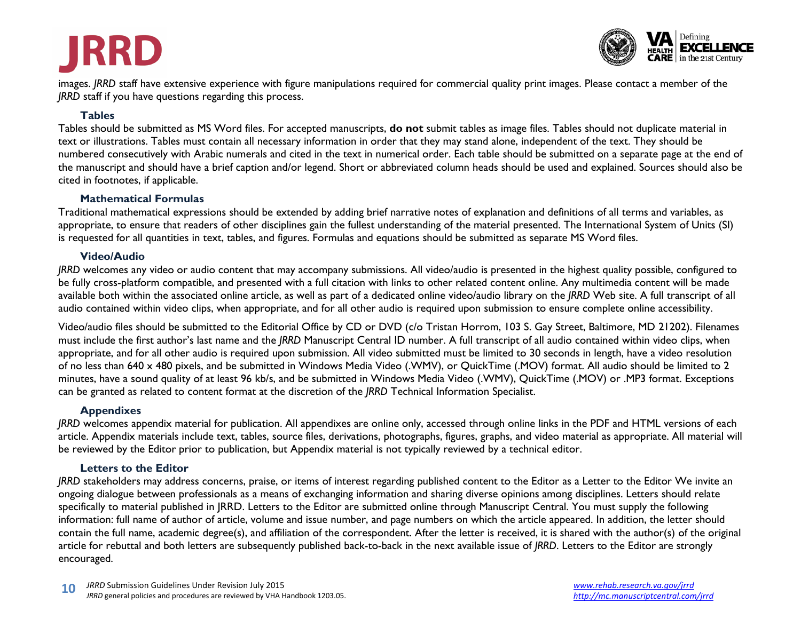# **JRRD**



images. *JRRD* staff have extensive experience with figure manipulations required for commercial quality print images. Please contact a member of the *JRRD* staff if you have questions regarding this process.

#### **Tables**

Tables should be submitted as MS Word files. For accepted manuscripts, **do not** submit tables as image files. Tables should not duplicate material in text or illustrations. Tables must contain all necessary information in order that they may stand alone, independent of the text. They should be numbered consecutively with Arabic numerals and cited in the text in numerical order. Each table should be submitted on a separate page at the end of the manuscript and should have a brief caption and/or legend. Short or abbreviated column heads should be used and explained. Sources should also be cited in footnotes, if applicable.

#### **Mathematical Formulas**

Traditional mathematical expressions should be extended by adding brief narrative notes of explanation and definitions of all terms and variables, as appropriate, to ensure that readers of other disciplines gain the fullest understanding of the material presented. The International System of Units (SI) is requested for all quantities in text, tables, and figures. Formulas and equations should be submitted as separate MS Word files.

#### **Video/Audio**

*JRRD* welcomes any video or audio content that may accompany submissions. All video/audio is presented in the highest quality possible, configured to be fully cross-platform compatible, and presented with a full citation with links to other related content online. Any multimedia content will be made available both within the associated online article, as well as part of a dedicated online video/audio library on the *JRRD* Web site. A full transcript of all audio contained within video clips, when appropriate, and for all other audio is required upon submission to ensure complete online accessibility.

Video/audio files should be submitted to the Editorial Office by CD or DVD (c/o Tristan Horrom, 103 S. Gay Street, Baltimore, MD 21202). Filenames must include the first author's last name and the *JRRD* Manuscript Central ID number. A full transcript of all audio contained within video clips, when appropriate, and for all other audio is required upon submission. All video submitted must be limited to 30 seconds in length, have a video resolution of no less than 640 x 480 pixels, and be submitted in Windows Media Video (.WMV), or QuickTime (.MOV) format. All audio should be limited to 2 minutes, have a sound quality of at least 96 kb/s, and be submitted in Windows Media Video (.WMV), QuickTime (.MOV) or .MP3 format. Exceptions can be granted as related to content format at the discretion of the *JRRD* Technical Information Specialist.

#### **Appendixes**

*JRRD* welcomes appendix material for publication. All appendixes are online only, accessed through online links in the PDF and HTML versions of each article. Appendix materials include text, tables, source files, derivations, photographs, figures, graphs, and video material as appropriate. All material will be reviewed by the Editor prior to publication, but Appendix material is not typically reviewed by a technical editor.

#### **Letters to the Editor**

*JRRD* stakeholders may address concerns, praise, or items of interest regarding published content to the Editor as a Letter to the Editor We invite an ongoing dialogue between professionals as a means of exchanging information and sharing diverse opinions among disciplines. Letters should relate specifically to material published in JRRD. Letters to the Editor are submitted online through Manuscript Central. You must supply the following information: full name of author of article, volume and issue number, and page numbers on which the article appeared. In addition, the letter should contain the full name, academic degree(s), and affiliation of the correspondent. After the letter is received, it is shared with the author(s) of the original article for rebuttal and both letters are subsequently published back-to-back in the next available issue of *JRRD*. Letters to the Editor are strongly encouraged.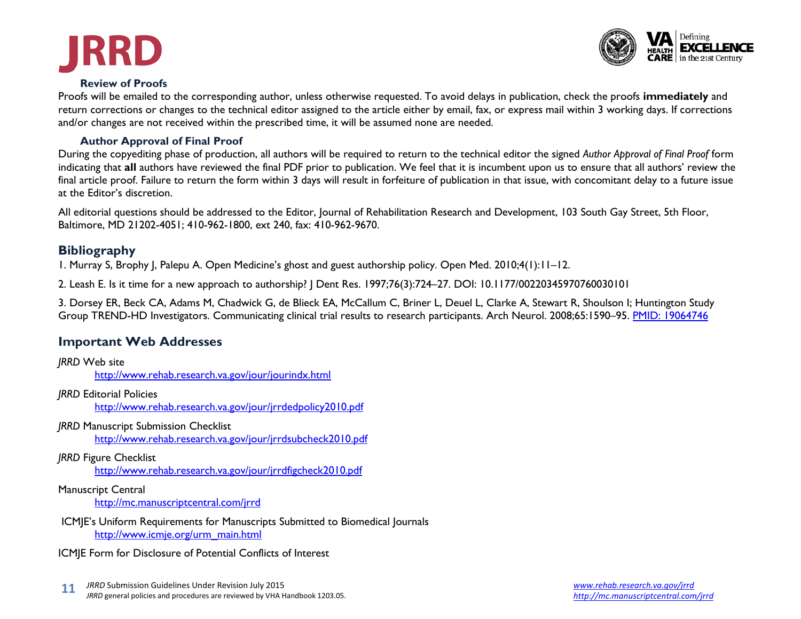



#### **Review of Proofs**

Proofs will be emailed to the corresponding author, unless otherwise requested. To avoid delays in publication, check the proofs **immediately** and return corrections or changes to the technical editor assigned to the article either by email, fax, or express mail within 3 working days. If corrections and/or changes are not received within the prescribed time, it will be assumed none are needed.

#### **Author Approval of Final Proof**

During the copyediting phase of production, all authors will be required to return to the technical editor the signed *Author Approval of Final Proof* form indicating that **all** authors have reviewed the final PDF prior to publication. We feel that it is incumbent upon us to ensure that all authors' review the final article proof. Failure to return the form within 3 days will result in forfeiture of publication in that issue, with concomitant delay to a future issue at the Editor's discretion.

All editorial questions should be addressed to the Editor, Journal of Rehabilitation Research and Development, 103 South Gay Street, 5th Floor, Baltimore, MD 21202-4051; 410-962-1800, ext 240, fax: 410-962-9670.

## **Bibliography**

1. Murray S, Brophy J, Palepu A. Open Medicine's ghost and guest authorship policy. Open Med. 2010;4(1):11–12.

2. Leash E. Is it time for a new approach to authorship? J Dent Res. 1997;76(3):724–27. DOI: 10.1177/00220345970760030101

3. Dorsey ER, Beck CA, Adams M, Chadwick G, de Blieck EA, McCallum C, Briner L, Deuel L, Clarke A, Stewart R, Shoulson I; Huntington Study Group TREND-HD Investigators. Communicating clinical trial results to research participants. Arch Neurol. 2008;65:1590-95. [PMID: 19064746](http://www.ncbi.nlm.nih.gov/pubmed/19064746)

## **Important Web Addresses**

| <b>JRRD Web site</b><br>http://www.rehab.research.va.gov/jour/jourindx.html                                         |
|---------------------------------------------------------------------------------------------------------------------|
| <b>JRRD Editorial Policies</b><br>http://www.rehab.research.va.gov/jour/jrrdedpolicy2010.pdf                        |
| <b>JRRD Manuscript Submission Checklist</b><br>http://www.rehab.research.va.gov/jour/jrrdsubcheck2010.pdf           |
| <b>JRRD Figure Checklist</b><br>http://www.rehab.research.va.gov/jour/jrrdfigcheck2010.pdf                          |
| <b>Manuscript Central</b><br>http://mc.manuscriptcentral.com/jrrd                                                   |
| ICMJE's Uniform Requirements for Manuscripts Submitted to Biomedical Journals<br>http://www.icmje.org/urm_main.html |
| ICMJE Form for Disclosure of Potential Conflicts of Interest                                                        |